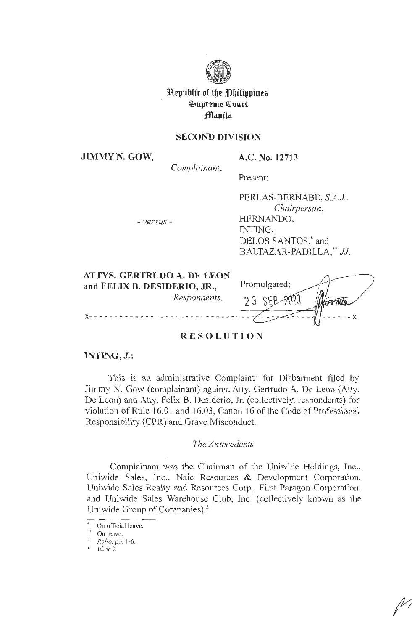

# **l\.epuhltt of tbe ~btltpptne~ §s>upreme <!ourt ~anila**

## **SECOND DIVISION**

**JIMMY N. GOW,** 

**A.C. No. 12713** 

*Complainant,*  Present:

- *versus* -

PERLAS-BERNABE, *S.A.J. , Chairperson,*  HERNANDO, INTING, DELOS SANTOS,<sup>\*</sup> and BALTAZAR-PADILLA, \*\* JJ.

| <b>ATTYS. GERTRUDO A. DE LEON</b> |              |
|-----------------------------------|--------------|
| and FELIX B. DESIDERIO, JR.,      | Promulgated: |
| Respondents.                      | $23$ SFP     |
|                                   |              |

## **RESOLUTION**

## **INTING, J.:**

This is an administrative Complaint<sup>1</sup> for Disbarment filed by Jimmy N. Gow (complainant) against Atty. Gertrudo A. De Leon (Atty. De Leon) and Atty. Felix B. Desiderio, Jr. ( collectively, respondents) for violation of Rule 16.01 and 16.03, Canon 16 of the Code of Professional Responsibility (CPR) and Grave Misconduct.

#### *The Antecedents*

Complainant was the Chairman of the Uniwide Holdings, Inc., Uniwide Sales, Inc., Naic Resources & Development Corporation, Uniwide Sales Realty and Resources Corp., First Paragon Corporation, and Uniwide Sales Warehouse Club, Inc. (collectively known as the Uniwide Group of Companies).<sup>2</sup>

On official leave.

On leave.

<sup>&</sup>lt;sup>1</sup> *Rollo*, pp. 1-6.<br><sup>2</sup> *Id.* at 2.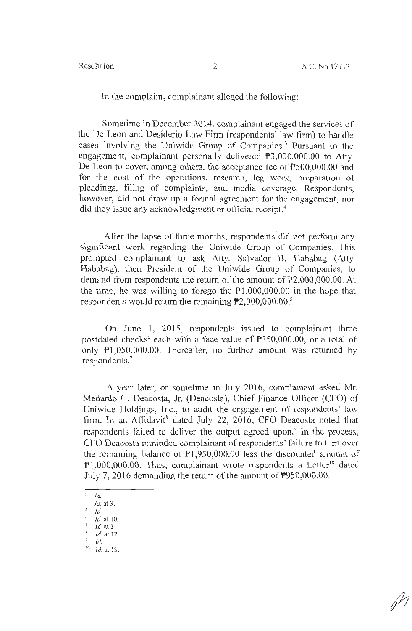In the complaint, complainant alleged the following:

Sometime in December 2014, complainant engaged the services of the De Leon and Desiderio Law Firm (respondents' law firm) to handle cases involving the Uniwide Group of Companies. 3 Pursuant to the engagement, complainant personally delivered P3,000,000.00 to Atty. De Leon to cover, among others, the acceptance fee of  $P500,000,00$  and for the cost of the operations, research, leg work, preparation of pleadings, filing of complaints, and media coverage. Respondents, however, did not draw up a formal agreement for the engagement, nor did they issue any acknowledgment or official receipt.<sup>4</sup>

After the lapse of three months, respondents did not perform any significant work regarding the Uniwide Group of Companies. This prompted complainant to ask Atty. Salvador B. Hababag (Atty. Hababag), then President of the Uniwide Group of Companies, to demand from respondents the return of the amount of P2,000,000.00. At the time, he was willing to forego the Pl,000,000.00 in the hope that respondents would return the remaining  $\overline{P}2,000,000.00$ .<sup>5</sup>

On June 1, 2015, respondents issued to complainant three postdated checks<sup>6</sup> each with a face value of  $P350,000.00$ , or a total of only Pl,050,000.00. Thereafter, no further amount was returned by respondents.<sup>7</sup>

A year later, or sometime in July 2016, complainant asked Mr. Medardo C. Deacosta, Jr. (Deacosta), Chief Finance Officer (CFO) of Uniwide Holdings, Inc., to audit the engagement of respondents' law firm. In an Affidavit<sup>8</sup> dated July 22, 2016, CFO Deacosta noted that respondents failed to deliver the output agreed upon.<sup>9</sup> In the process, CFO Deacosta reminded complainant of respondents' failure to turn over the remaining balance of Pl,950,000.00 less the discounted amount of  $P1,000,000,00$ . Thus, complainant wrote respondents a Letter<sup>10</sup> dated July 7, 2016 demanding the return of the amount of P950,000.00.

 $\frac{3}{4}$  *Id.* 

<sup>4</sup>*Id.* at 3.

*s Id.* 

*Id.* at 10.<br>*Id.* at 3

 $\frac{1}{9}$  *id.* at 12.

<sup>9</sup> *Id.* 

<sup>10</sup>*Id.* at 13.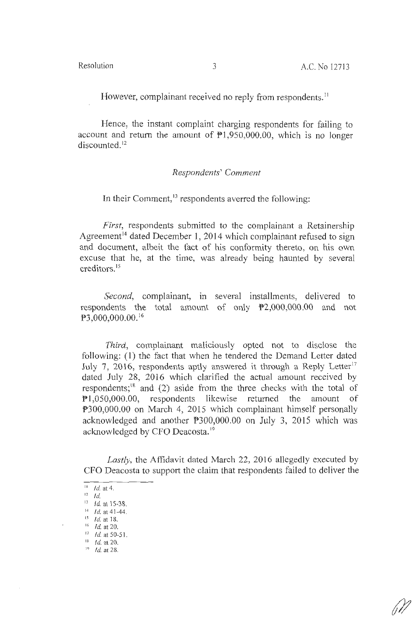However, complainant received no reply from respondents.<sup>11</sup>

Hence, the instant complaint charging respondents for failing to account and return the amount of  $\overline{P}1,950,000.00$ , which is no longer discounted.<sup>12</sup>

### *Respondents' Comment*

In their Comment, $13$  respondents averred the following:

*First,* respondents submitted to the complainant a Retainership Agreement<sup>14</sup> dated December 1, 2014 which complainant refused to sign and document, albeit the fact of his conformity thereto, on his own excuse that he, at the time, was already being haunted by several creditors. 15

*Second,* complainant, in several installments, delivered to respondents the total amount of only P2,000,000.00 and not P3,000,000.00.<sup>16</sup>

*Third,* complainant maliciously opted not to disclose the following: (1) the fact that when he tendered the Demand Letter dated July 7, 2016, respondents aptly answered it through a Reply Letter<sup>17</sup> dated July 28, 2016 which clarified the actual amount received by respondents; $^{18}$  and (2) aside from the three checks with the total of Pl,050,000.00, respondents likewise returned the amount of P300,000.00 on March 4, 2015 which complainant himself personally acknowledged and another P300,000.00 on July 3, 2015 which was acknowledged by CFO Deacosta.<sup>19</sup>

*Lastly,* the Affidavit dated March 22, 2016 allegedly executed by CFO Deacosta to support the claim that respondents failed to deliver the

<sup>11</sup>*Id.* at 4.

 $l^2$  Id.

<sup>&</sup>lt;sup>13</sup> *Id.* at 15-38.

<sup>&</sup>lt;sup>14</sup> *Id.* at 41-44.<br><sup>15</sup> *Id.* at 18.

*Id.* at 20.

<sup>&</sup>lt;sup>17</sup>*Id.* at 50-51.<br><sup>18</sup> *Id.* at 20.

<sup>19</sup> *Id.* at 28.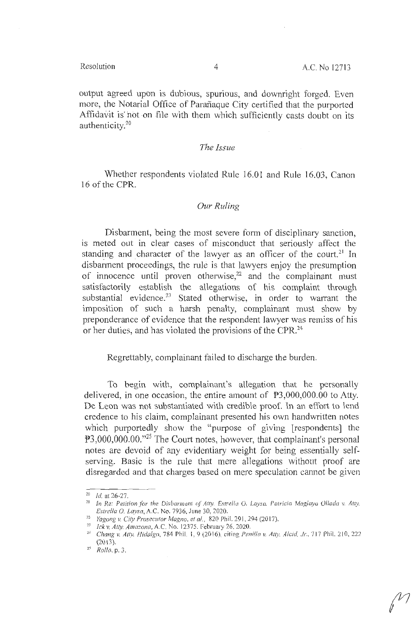output agreed upon is dubious, spurious, and downright forged. Even more, the Notarial Office of Parañaque City certified that the purported Affidavit is not on file with them which sufficiently casts doubt on its authenticity.20

#### *The Issue*

Whether respondents violated Rule 16.01 and Rule 16.03, Canon 16 of the CPR.

#### *Our Ruling*

Disbarment, being the most severe form of disciplinary sanction, is meted out in clear cases of misconduct that seriously affect the standing and character of the lawyer as an officer of the court.<sup>21</sup> In disbarment proceedings, the rule is that lawyers enjoy the presumption of innocence until proven otherwise, $22$  and the complainant must satisfactorily establish the allegations of his complaint through substantial evidence.<sup>23</sup> Stated otherwise, in order to warrant the imposition of such a harsh penalty, complainant must show by preponderance of evidence that the respondent lawyer was remiss of his or her duties, and has violated the provisions of the CPR.<sup>24</sup>

Regrettably, complainant failed to discharge the burden.

To begin with, complainant's allegation that he personally delivered, in one occasion, the entire amount of P3,000,000.00 to Atty. De Leon was not substantiated with credible proof. In an effort to lend credence to his claim, complainant presented his own handwritten notes which purportedly show the "purpose of giving [respondents] the P3,000,000.00."25 The Court notes, however, that complainant's personal notes are devoid of any evidentiary weight for being essentially selfserving. Basic is the rule that mere allegations without proof are disregarded and that charges based on mere speculation cannot be given

 $20$  *Id.* at 26-27.

<sup>&</sup>lt;sup>21</sup> In Re: Petition for the Disbarment of Atty. Estrella O. Laysa, Patricia Maglaya Ollada v. Atty. <br>*Estrella O. Laysa*, A.C. No. 7936, June 30, 2020.

<sup>&</sup>lt;sup>22</sup> *Yagong v. City Prosecutor Magno, et al.*, 820 Phil. 291, 294 (2017).<br><sup>23</sup> *Ick v. Atty. Amazona,* A.C. No. 12375. February 26, 2020.<br><sup>24</sup> *Chang v. Atty. Hidalgo,* 784 Phil. 1, 9 (2016), citing *Penilla v. Atty. Alc* (201 3). 25 *Rollo,* p. 3.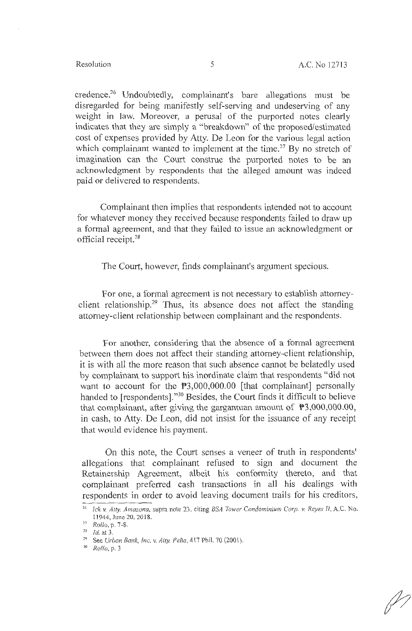credence.26 Undoubtedly, complainant's bare allegations must be disregarded for being manifestly self-serving and undeserving of any weight in law. Moreover, a perusal of the purported notes clearly indicates that they are simply a "breakdown" of the proposed/estimated cost of expenses provided by Atty. De Leon for the various legal action which complainant wanted to implement at the time.<sup>27</sup> By no stretch of imagination can the Court construe the purported notes to be an acknowledgment by respondents that the alleged amount was indeed paid or delivered to respondents.

Complainant then implies that respondents intended not to account for whatever money they received because respondents failed to draw up a formal agreement, and that they failed to issue an acknowledgment or official receipt.28

The Court, however, finds complainant's argument specious.

For one, a formal agreement is not necessary to establish attorneyclient relationship.<sup>29</sup> Thus, its absence does not affect the standing attorney-client relationship between complainant and the respondents.

For another, considering that the absence of a formal agreement between them does not affect their standing attorney-client relationship, it is with all the more reason that such absence cannot be belatedly used by complainant to support his inordinate claim that respondents "did not want to account for the P3,000,000.00 [that complainant] personally handed to [respondents]."<sup>30</sup> Besides, the Court finds it difficult to believe that complainant, after giving the gargantuan amount of  $\overline{P}3,000,000.00,000$ in cash, to Atty. De Leon, did not insist for the issuance of any receipt that would evidence his payment.

On this note, the Court senses a veneer of truth in respondents' allegations that complainant refused to sign and document the Retainership Agreement, albeit his conformity thereto, and that complainant preferred cash transactions in all his dealings with respondents in order to avoid leaving document trails for his creditors,

<sup>26</sup>*!ck* v. *Atty. Amazona,* supra note 23, citing *BSA Tower Condominium Corp.* v. *Reyes* fl, A.C. No. 11944, June 20, 2018.<br><sup>27</sup> *Rollo*, p. 7-8.<br><sup>28</sup> *Id.* at 3.

<sup>&</sup>lt;sup>29</sup> See *Urban Bank, Inc. v. Atty. Peña*, 417 Phil. 70 (2001).<br><sup>30</sup> *Rollo*, p. 3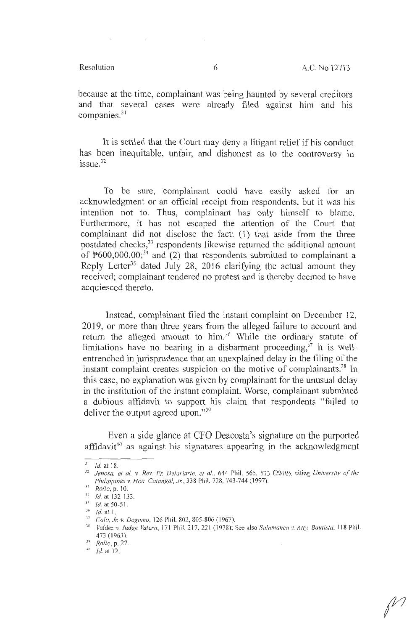because at the time, complainant was being haunted by several creditors and that several cases were already filed against him and his companies. $31$ 

It is settled that the Court may deny a litigant relief if his conduct has been inequitable, unfair, and dishonest as to the controversy in issue. 32

To be sure, complainant could have easily asked for an acknowledgment or an official receipt from respondents, but it was his intention not to. Thus, complainant has only himself to blame. Furthermore, it has not escaped the attention of the Court that complainant did not disclose the fact: (1) that aside from the three postdated checks, 33 respondents likewise returned the additional amount of  $\mathbb{P}600,000.00;$ <sup>34</sup> and (2) that respondents submitted to complainant a Reply Letter<sup>35</sup> dated July 28, 2016 clarifying the actual amount they received; complainant tendered no protest and is thereby deemed to have acquiesced thereto.

Instead, complainant filed the instant complaint on December 12, 2019, or more than three years from the alleged failure to account and return the alleged amount to him.36 While the ordinary statute of limitations have no bearing in a disbarment proceeding, $37$  it is wellentrenched in jurisprudence that an unexplained delay in the filing of the instant complaint creates suspicion on the motive of complainants.<sup>38</sup> In this case, no explanation was given by complainant for the unusual delay in the institution of the instant complaint. Worse, complainant submitted a dubious affidavit to support his claim that respondents " failed to deliver the output agreed upon."<sup>39</sup>

Even a side glance at CFO Deacosta's signature on the purported affidavit<sup>40</sup> as against his signatures appearing in the acknowledgment

 $J1$  *Id.* at 18.

<sup>&</sup>lt;sup>32</sup> Jenosa, et al. v. Rev. Fr. Delariarte, ct al., 644 Phil. 565, 573 (2010), citing *University of the Philippines v. Hon Catungal, Jr.*, 338 Phil. 728, 743-744 (1997).

<sup>33</sup> *Rollo*, p. 10.

<sup>&</sup>lt;sup>34</sup> *Id.* at 132-133.<br><sup>35</sup> *Id.* at 50-51

 $\frac{35}{36}$  *Id.* at 50-51.

<sup>&</sup>lt;sup>37</sup> *Calo, Jr. v. Degamo, 126 Phil. 802, 805-806 (1967). Vallering Vallery Valdez v. Judge Valera, 118 Phil.* 38 *Valdez v. Judge Valera, 171 Phil.* 217, 221 (1978): See also *Salamanca v. Atty. Bautista, 118 Phil.* 473 ( 1963). 39 *Rollo,* p. 27.

<sup>·</sup> <sup>10</sup>*Id.* at 12.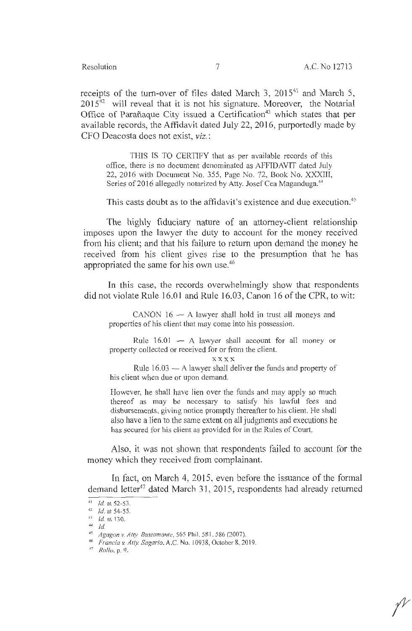receipts of the turn-over of files dated March 3,  $2015^{41}$  and March 5,  $2015<sup>42</sup>$  will reveal that it is not his signature. Moreover, the Notarial Office of Parañaque City issued a Certification<sup>43</sup> which states that per available records, the Affidavit dated July 22, 2016, purportedly made by CFO Deacosta does not exist, viz.:

THIS IS TO CERTIFY that as per available records of this office, there is no document denominated as AFFIDAVIT dated July 22, 2016 with Document No. 355, Page No. 72, Book No. XXXIII, Series of 2016 allegedly notarized by Atty. Josef Cea Maganduga.<sup>44</sup>

This casts doubt as to the affidavit's existence and due execution.<sup>45</sup>

The highly fiduciary nature of an attorney-client relationship imposes upon the lawyer the duty to account for the money received from his client; and that his failure to return upon demand the money he received from his client gives rise to the presumption that he has appropriated the same for his own use.<sup>46</sup>

In this case, the records overwhelmingly show that respondents did not violate Rule 16.01 and Rule 16.03, Canon 16 of the CPR, to wit:

 $CANON$  16  $-$  A lawyer shall hold in trust all moneys and properties of his client that may come into his possession.

Rule  $16.01 - A$  lawyer shall account for all money or property collected or received for or from the client.

**xxxx** 

Rule  $16.03 - A$  lawyer shall deliver the funds and property of his client when due or upon demand.

However, he shall have lien over the funds and may apply so much thereof as may be necessary to satisfy his lawful fees and disbursements, giving notice promptly thereafter to his client. He shall also have a lien to the same extent on all judgments and executions he has secured for his client as provided for in the Rules of Court.

Also, it was not shown that respondents failed to account for the money which they received from complainant.

fn fact, on March 4, 2015, even before the issuance of the formal demand letter<sup>47</sup> dated March 31, 2015, respondents had already returned

<sup>41</sup>*Id.* at 52-53. 42 Id. at 54-55. 41 *Id.* al 130.

<sup>44</sup>*Id.* 

*<sup>45</sup> Agagon v. Atty. Bustamante,* 565 Phil. 581, 586 (2007). 46 *Francia* v. *Atty. Sagario,* A.C. No. I 0938, October 8.2019. 47 Rolfv, p. 9.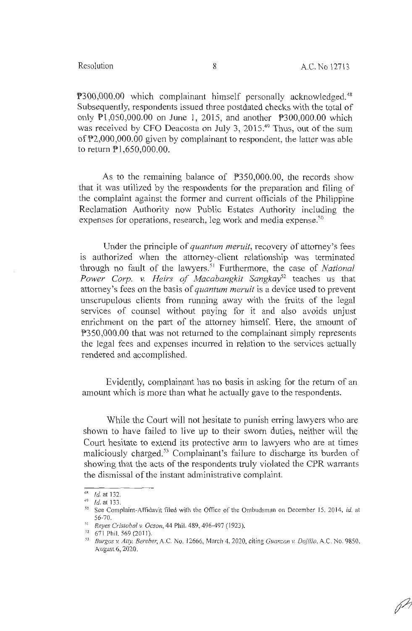P300,000.00 which complainant himself personally acknowledged.<sup>48</sup> Subsequently, respondents issued three postdated checks with the total of only Pl ,050,000.00 on June 1, 2015, and another P300,000.00 which was received by CFO Deacosta on July 3, 2015.<sup>49</sup> Thus, out of the sum of P2,000,000.00 given by complainant to respondent, the latter was able to return Pl ,650,000.00.

As to the remaining balance of  $P350,000.00$ , the records show that it was utilized by the respondents for the preparation and filing of the complaint against the former and current officials of the Philippine Reclamation Authority now Public Estates Authority including the expenses for operations, research, leg work and media expense.<sup>50</sup>

Under the principle of *quantum meruit,* recovery of attorney's fees is authorized when the attorney-client relationship was terminated through no fault of the lawyers.<sup>51</sup> Furthermore, the case of *National* Power Corp. v. Heirs of Macabangkit Sangkay<sup>52</sup> teaches us that attorney's fees on the basis of *quantum meruit* is a device used to prevent unscrupulous clients from running away with the fruits of the legal services of counsel without paying for it and also avoids unjust enrichment on the part of the attorney himself. Here, the amount of P350,000.00 that was not returned to the complainant simply represents the legal fees and expenses incurred in relation to the services actually rendered and accomplished.

Evidently, complainant has no basis in asking for the return of an amount which is more than what he actually gave to the respondents.

While the Court will not hesitate to punish erring lawyers who are shown to have failed to live up to their sworn duties, neither will the Court hesitate to extend its protective arm to lawyers who are at times maliciously charged. 53 Complainant's failure to discharge its burden of showing that the acts of the respondents truly violated the CPR warrants the dismissal of the instant administrative complaint.

<sup>&</sup>lt;sup>48</sup> *Id.* at 132.<br><sup>49</sup> *Id.* at 133.

<sup>&</sup>lt;sup>50</sup> See Complaint-Affidavit filed with the Office of the Ombudsman on December 15, 2014, *id.* at 56-70. 51 *Reyes Cristobal v. Ocson,* 44 Phil. 489, 496-497 ( I 923 ). 52 67 1 Phil. 569 (2011 ). 53 *Burgos v. Atty. Berebe,~* A.C. No. 12666, March 4. 2020, citing *Guanzon v. Dojillo,* A.C. No. 9850,

August 6, 2020.